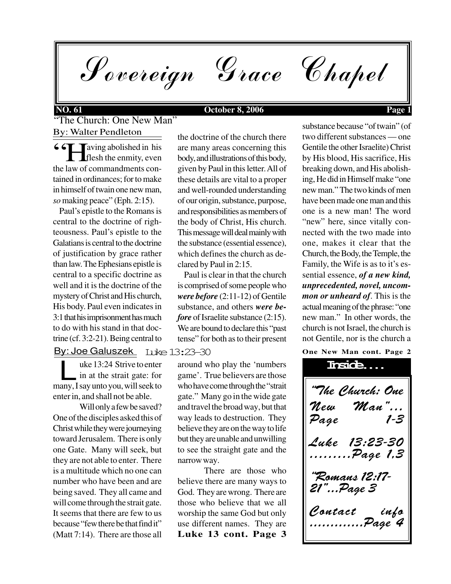Sovereign Grace Chapel

## **NO. 61 October 8, 2006 Page 1**

"The Church: One New Man" By: Walter Pendleton

 $\frac{66}{h}$ **Taving abolished in his**  flesh the enmity, even the law of commandments contained in ordinances; for to make in himself of twain one new man, *so* making peace" (Eph. 2:15).

 Paul's epistle to the Romans is central to the doctrine of righteousness. Paul's epistle to the Galatians is central to the doctrine of justification by grace rather than law. The Ephesians epistle is central to a specific doctrine as well and it is the doctrine of the mystery of Christ and His church, His body. Paul even indicates in 3:1 that his imprisonment has much to do with his stand in that doctrine (cf. 3:2-21). Being central to

## <u>By: Joe Galuszek</u> Luke 13:23–30

uke 13:24 Strive to enter in at the strait gate: for uke 13:24 Strive to enter<br>in at the strait gate: for<br>many, I say unto you, will seek to enter in, and shall not be able.

Will only a few be saved? One of the disciples asked this of Christ while they were journeying toward Jerusalem. There is only one Gate. Many will seek, but they are not able to enter. There is a multitude which no one can number who have been and are being saved. They all came and will come through the strait gate. It seems that there are few to us because "few there be that find it" (Matt 7:14). There are those all

the doctrine of the church there are many areas concerning this body, and illustrations of this body, given by Paul in this letter. All of these details are vital to a proper and well-rounded understanding of our origin, substance, purpose, and responsibilities as members of the body of Christ, His church. This message will deal mainly with the substance (essential essence), which defines the church as declared by Paul in 2:15.

 Paul is clear in that the church is comprised of some people who *were before* (2:11-12) of Gentile substance, and others *were before* of Israelite substance (2:15). We are bound to declare this "past tense" for both as to their present

around who play the 'numbers game'. True believers are those who have come through the "strait gate." Many go in the wide gate and travel the broad way, but that way leads to destruction. They believe they are on the way to life but they are unable and unwilling to see the straight gate and the narrow way.

**Luke 13 cont. Page 3** There are those who believe there are many ways to God. They are wrong. There are those who believe that we all worship the same God but only use different names. They are substance because "of twain" (of two different substances — one Gentile the other Israelite) Christ by His blood, His sacrifice, His breaking down, and His abolishing, He did in Himself make "one new man." The two kinds of men have been made one man and this one is a new man! The word "new" here, since vitally connected with the two made into one, makes it clear that the Church, the Body, the Temple, the Family, the Wife is as to it's essential essence, *of a new kind, unprecedented, novel, uncommon or unheard of*. This is the actual meaning of the phrase: "one new man." In other words, the church is not Israel, the church is not Gentile, nor is the church a

**One New Man cont. Page 2**

"The Church: One "Mew "Man"...<br>Paae 1-3 Page Luke 13:23-30 .........Page 1,3 "Romans 12:17- 21"...Page 3 Contact info .............Page 4 **Inside....**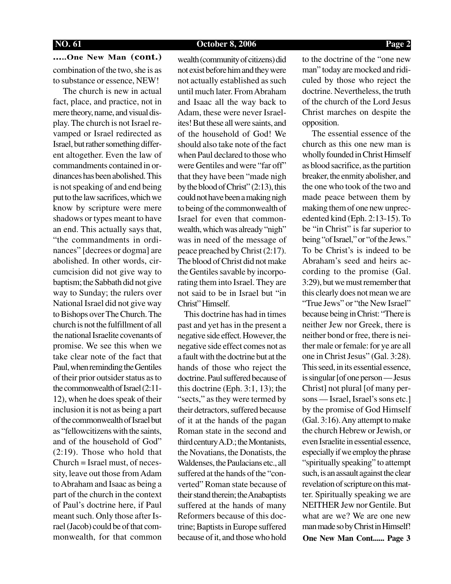**NO. 61 October 8, 2006 Page 2**

**.....One New Man (cont.)** combination of the two, she is as to substance or essence, NEW!

 The church is new in actual fact, place, and practice, not in mere theory, name, and visual display. The church is not Israel revamped or Israel redirected as Israel, but rather something different altogether. Even the law of commandments contained in ordinances has been abolished. This is not speaking of and end being put to the law sacrifices, which we know by scripture were mere shadows or types meant to have an end. This actually says that, "the commandments in ordinances" [decrees or dogma] are abolished. In other words, circumcision did not give way to baptism; the Sabbath did not give way to Sunday; the rulers over National Israel did not give way to Bishops over The Church. The church is not the fulfillment of all the national Israelite covenants of promise. We see this when we take clear note of the fact that Paul, when reminding the Gentiles of their prior outsider status as to the commonwealth of Israel (2:11- 12), when he does speak of their inclusion it is not as being a part of the commonwealth of Israel but as "fellowcitizens with the saints, and of the household of God" (2:19). Those who hold that Church = Israel must, of necessity, leave out those from Adam to Abraham and Isaac as being a part of the church in the context of Paul's doctrine here, if Paul meant such. Only those after Israel (Jacob) could be of that commonwealth, for that common

wealth (community of citizens) did not exist before him and they were not actually established as such until much later. From Abraham and Isaac all the way back to Adam, these were never Israelites! But these all were saints, and of the household of God! We should also take note of the fact when Paul declared to those who were Gentiles and were "far off" that they have been "made nigh by the blood of Christ" (2:13), this could not have been a making nigh to being of the commonwealth of Israel for even that commonwealth, which was already "nigh" was in need of the message of peace preached by Christ (2:17). The blood of Christ did not make the Gentiles savable by incorporating them into Israel. They are not said to be in Israel but "in Christ" Himself.

 This doctrine has had in times past and yet has in the present a negative side effect. However, the negative side effect comes not as a fault with the doctrine but at the hands of those who reject the doctrine. Paul suffered because of this doctrine (Eph. 3:1, 13); the "sects," as they were termed by their detractors, suffered because of it at the hands of the pagan Roman state in the second and third century A.D.; the Montanists, the Novatians, the Donatists, the Waldenses, the Paulacians etc., all suffered at the hands of the "converted" Roman state because of their stand therein; the Anabaptists suffered at the hands of many Reformers because of this doctrine; Baptists in Europe suffered because of it, and those who hold to the doctrine of the "one new man" today are mocked and ridiculed by those who reject the doctrine. Nevertheless, the truth of the church of the Lord Jesus Christ marches on despite the opposition.

**One New Man Cont...... Page 3** The essential essence of the church as this one new man is wholly founded in Christ Himself as blood sacrifice, as the partition breaker, the enmity abolisher, and the one who took of the two and made peace between them by making them of one new unprecedented kind (Eph. 2:13-15). To be "in Christ" is far superior to being "of Israel," or "of the Jews." To be Christ's is indeed to be Abraham's seed and heirs according to the promise (Gal. 3:29), but we must remember that this clearly does not mean we are "True Jews" or "the New Israel" because being in Christ: "There is neither Jew nor Greek, there is neither bond or free, there is neither male or female: for ye are all one in Christ Jesus" (Gal. 3:28). This seed, in its essential essence, is singular [of one person — Jesus Christ] not plural [of many persons — Israel, Israel's sons etc.] by the promise of God Himself (Gal. 3:16). Any attempt to make the church Hebrew or Jewish, or even Israelite in essential essence, especially if we employ the phrase "spiritually speaking" to attempt such, is an assault against the clear revelation of scripture on this matter. Spiritually speaking we are NEITHER Jew nor Gentile. But what are we? We are one new man made so by Christ in Himself!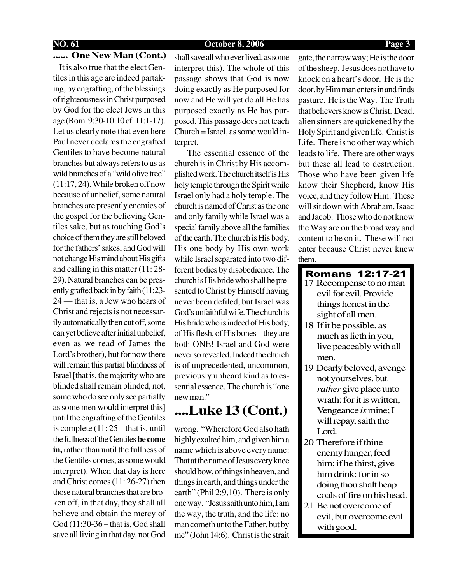### **NO. 61 October 8, 2006 Page 3**

### **...... One New Man (Cont.)**

 It is also true that the elect Gentiles in this age are indeed partaking, by engrafting, of the blessings of righteousness in Christ purposed by God for the elect Jews in this age (Rom. 9:30-10:10 cf. 11:1-17). Let us clearly note that even here Paul never declares the engrafted Gentiles to have become natural branches but always refers to us as wild branches of a "wild olive tree" (11:17, 24). While broken off now because of unbelief, some natural branches are presently enemies of the gospel for the believing Gentiles sake, but as touching God's choice of them they are still beloved for the fathers' sakes, and God will not change His mind about His gifts and calling in this matter (11: 28- 29). Natural branches can be presently grafted back in by faith (11:23- 24 — that is, a Jew who hears of Christ and rejects is not necessarily automatically then cut off, some can yet believe after initial unbelief, even as we read of James the Lord's brother), but for now there will remain this partial blindness of Israel [that is, the majority who are blinded shall remain blinded, not, some who do see only see partially as some men would interpret this] until the engrafting of the Gentiles is complete (11: 25 – that is, until the fullness of the Gentiles **be come in,** rather than until the fullness of the Gentiles comes, as some would interpret). When that day is here and Christ comes (11: 26-27) then those natural branches that are broken off, in that day, they shall all believe and obtain the mercy of God (11:30-36 – that is, God shall save all living in that day, not God

shall save all who ever lived, as some interpret this). The whole of this passage shows that God is now doing exactly as He purposed for now and He will yet do all He has purposed exactly as He has purposed. This passage does not teach Church = Israel, as some would interpret.

 The essential essence of the church is in Christ by His accomplished work. The church itself is His holy temple through the Spirit while Israel only had a holy temple. The church is named of Christ as the one and only family while Israel was a special family above all the families of the earth. The church is His body, His one body by His own work while Israel separated into two different bodies by disobedience. The church is His bride who shall be presented to Christ by Himself having never been defiled, but Israel was God's unfaithful wife. The church is His bride who is indeed of His body, of His flesh, of His bones – they are both ONE! Israel and God were never so revealed. Indeed the church is of unprecedented, uncommon, previously unheard kind as to essential essence. The church is "one new man."

## **....Luke 13 (Cont.)**

wrong. "Wherefore God also hath highly exalted him, and given him a name which is above every name: That at the name of Jesus every knee should bow, of things in heaven, and things in earth, and things under the earth" (Phil 2:9,10). There is only one way. "Jesus saith unto him, I am the way, the truth, and the life: no man cometh unto the Father, but by me" (John 14:6). Christ is the strait

gate, the narrow way; He is the door of the sheep. Jesus does not have to knock on a heart's door. He is the door, by Him man enters in and finds pasture. He is the Way. The Truth that believers know is Christ. Dead, alien sinners are quickened by the Holy Spirit and given life. Christ is Life. There is no other way which leads to life. There are other ways but these all lead to destruction. Those who have been given life know their Shepherd, know His voice, and they follow Him. These will sit down with Abraham, Isaac and Jacob. Those who do not know the Way are on the broad way and content to be on it. These will not enter because Christ never knew them.

### Romans 12:17-21

- 17 Recompense to no man evil for evil. Provide things honest in the sight of all men.
- 18 If it be possible, as much as lieth in you, live peaceably with all men.
- 19 Dearly beloved, avenge not yourselves, but *rather* give place unto wrath: for it is written, Vengeance *is* mine; I will repay, saith the Lord.
- 20 Therefore if thine enemy hunger, feed him; if he thirst, give him drink: for in so doing thou shalt heap coals of fire on his head.
- 21 Be not overcome of evil, but overcome evil with good.